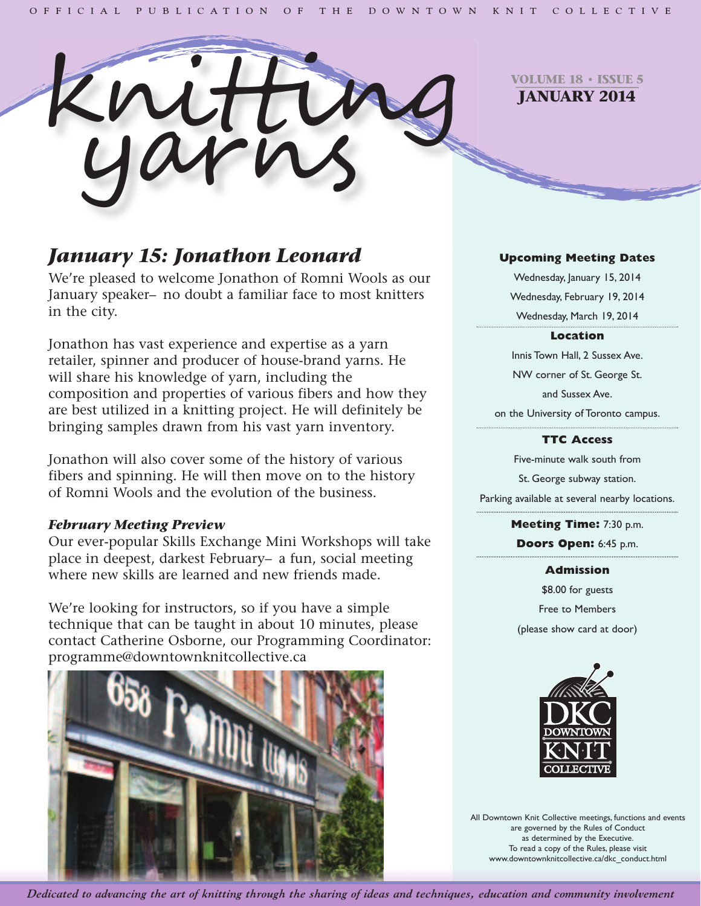

**VOLUME 18 • ISSUE 5 JANUARY 2014**

# *January 15: Jonathon Leonard*

We're pleased to welcome Jonathon of Romni Wools as our January speaker– no doubt a familiar face to most knitters in the city.

Jonathon has vast experience and expertise as a yarn retailer, spinner and producer of house-brand yarns. He will share his knowledge of yarn, including the composition and properties of various fibers and how they are best utilized in a knitting project. He will definitely be bringing samples drawn from his vast yarn inventory.

Jonathon will also cover some of the history of various fibers and spinning. He will then move on to the history of Romni Wools and the evolution of the business.

# *February Meeting Preview*

Our ever-popular Skills Exchange Mini Workshops will take place in deepest, darkest February– a fun, social meeting where new skills are learned and new friends made.

We're looking for instructors, so if you have a simple technique that can be taught in about 10 minutes, please contact Catherine Osborne, our Programming Coordinator: [programme@downtownknitcollective.ca](mailto: programme@downtownknitcollective.ca)



# **Upcoming Meeting Dates**

Wednesday, January 15, 2014 Wednesday, February 19, 2014 Wednesday, March 19, 2014

#### **Location**

Innis Town Hall, 2 Sussex Ave. NW corner of St. George St. and Sussex Ave. on the University of Toronto campus.

## **TTC Access**

Five-minute walk south from St. George subway station. Parking available at several nearby locations.

> **Meeting Time:** 7:30 p.m. **Doors Open:** 6:45 p.m.

> > **Admission**

\$8.00 for guests Free to Members (please show card at door)



All Downtown Knit Collective meetings, functions and events are governed by the Rules of Conduct as determined by the Executive. To read a copy of the Rules, please visit www.downtownknitcollective.ca/dkc\_conduct.html

Dedicated to advancing the art of knitting through the sharing of ideas and techniques, education and community involvement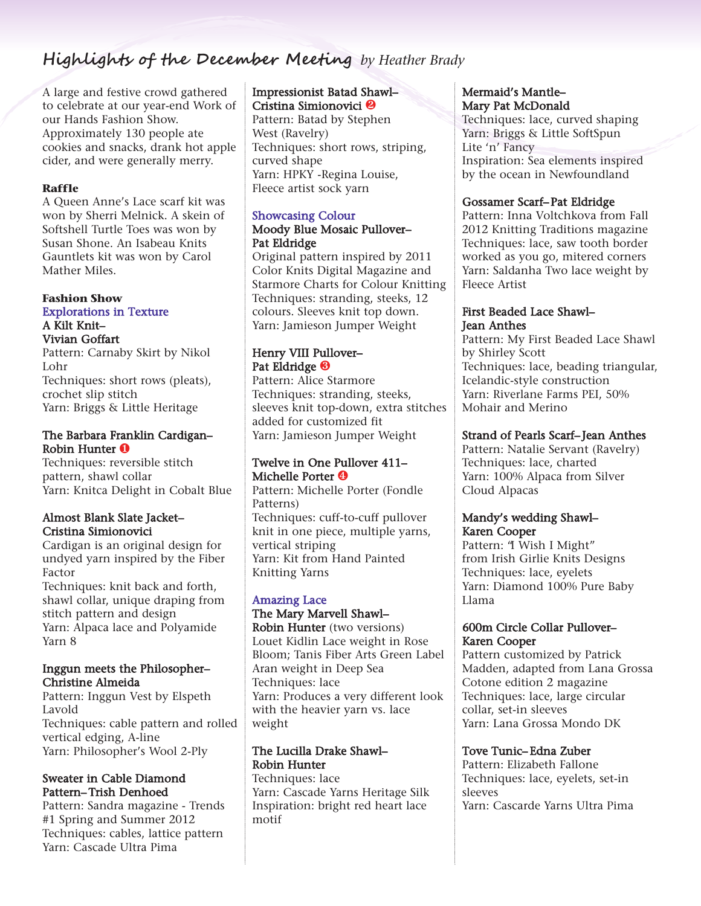# **Highlights of the December Meeting** *by Heather Brady*

A large and festive crowd gathered to celebrate at our year-end Work of our Hands Fashion Show. Approximately 130 people ate cookies and snacks, drank hot apple cider, and were generally merry.

# **Raffle**

A Queen Anne's Lace scarf kit was won by Sherri Melnick. A skein of Softshell Turtle Toes was won by Susan Shone. An Isabeau Knits Gauntlets kit was won by Carol Mather Miles.

#### **Fashion Show** Explorations in Texture A Kilt Knit– Vivian Goffart

Pattern: Carnaby Skirt by Nikol Lohr Techniques: short rows (pleats), crochet slip stitch Yarn: Briggs & Little Heritage

#### The Barbara Franklin Cardigan– Robin Hunter ❶

Techniques: reversible stitch pattern, shawl collar Yarn: Knitca Delight in Cobalt Blue

#### Almost Blank Slate Jacket– Cristina Simionovici

Cardigan is an original design for undyed yarn inspired by the Fiber Factor Techniques: knit back and forth,

shawl collar, unique draping from stitch pattern and design Yarn: Alpaca lace and Polyamide Yarn 8

#### Inggun meets the Philosopher– Christine Almeida

Pattern: Inggun Vest by Elspeth Lavold Techniques: cable pattern and rolled vertical edging, A-line Yarn: Philosopher's Wool 2-Ply

#### Sweater in Cable Diamond Pattern– Trish Denhoed

Pattern: Sandra magazine - Trends #1 Spring and Summer 2012 Techniques: cables, lattice pattern Yarn: Cascade Ultra Pima

#### Impressionist Batad Shawl– Cristina Simionovici ❷

Pattern: Batad by Stephen West (Ravelry) Techniques: short rows, striping, curved shape Yarn: HPKY -Regina Louise, Fleece artist sock yarn

# Showcasing Colour

## Moody Blue Mosaic Pullover– Pat Eldridge

Original pattern inspired by 2011 Color Knits Digital Magazine and Starmore Charts for Colour Knitting Techniques: stranding, steeks, 12 colours. Sleeves knit top down. Yarn: Jamieson Jumper Weight

# Henry VIII Pullover– Pat Eldridge **&**

Pattern: Alice Starmore Techniques: stranding, steeks, sleeves knit top-down, extra stitches added for customized fit Yarn: Jamieson Jumper Weight

## Twelve in One Pullover 411– Michelle Porter <sup>4</sup>

Pattern: Michelle Porter (Fondle Patterns) Techniques: cuff-to-cuff pullover knit in one piece, multiple yarns, vertical striping Yarn: Kit from Hand Painted Knitting Yarns

# Amazing Lace

The Mary Marvell Shawl– Robin Hunter (two versions) Louet Kidlin Lace weight in Rose Bloom; Tanis Fiber Arts Green Label Aran weight in Deep Sea Techniques: lace Yarn: Produces a very different look with the heavier yarn vs. lace weight

# The Lucilla Drake Shawl– Robin Hunter

Techniques: lace Yarn: Cascade Yarns Heritage Silk Inspiration: bright red heart lace motif

#### Mermaid's Mantle– Mary Pat McDonald

Techniques: lace, curved shaping Yarn: Briggs & Little SoftSpun Lite 'n' Fancy Inspiration: Sea elements inspired by the ocean in Newfoundland

# Gossamer Scarf– Pat Eldridge

Pattern: Inna Voltchkova from Fall 2012 Knitting Traditions magazine Techniques: lace, saw tooth border worked as you go, mitered corners Yarn: Saldanha Two lace weight by Fleece Artist

#### First Beaded Lace Shawl– Jean Anthes

Pattern: My First Beaded Lace Shawl by Shirley Scott Techniques: lace, beading triangular, Icelandic-style construction Yarn: Riverlane Farms PEI, 50% Mohair and Merino

# Strand of Pearls Scarf– Jean Anthes

Pattern: Natalie Servant (Ravelry) Techniques: lace, charted Yarn: 100% Alpaca from Silver Cloud Alpacas

#### Mandy's wedding Shawl– Karen Cooper

Pattern: "I Wish I Might" from Irish Girlie Knits Designs Techniques: lace, eyelets Yarn: Diamond 100% Pure Baby Llama

#### 600m Circle Collar Pullover– Karen Cooper

Pattern customized by Patrick Madden, adapted from Lana Grossa Cotone edition 2 magazine Techniques: lace, large circular collar, set-in sleeves Yarn: Lana Grossa Mondo DK

# Tove Tunic– Edna Zuber

Pattern: Elizabeth Fallone Techniques: lace, eyelets, set-in sleeves Yarn: Cascarde Yarns Ultra Pima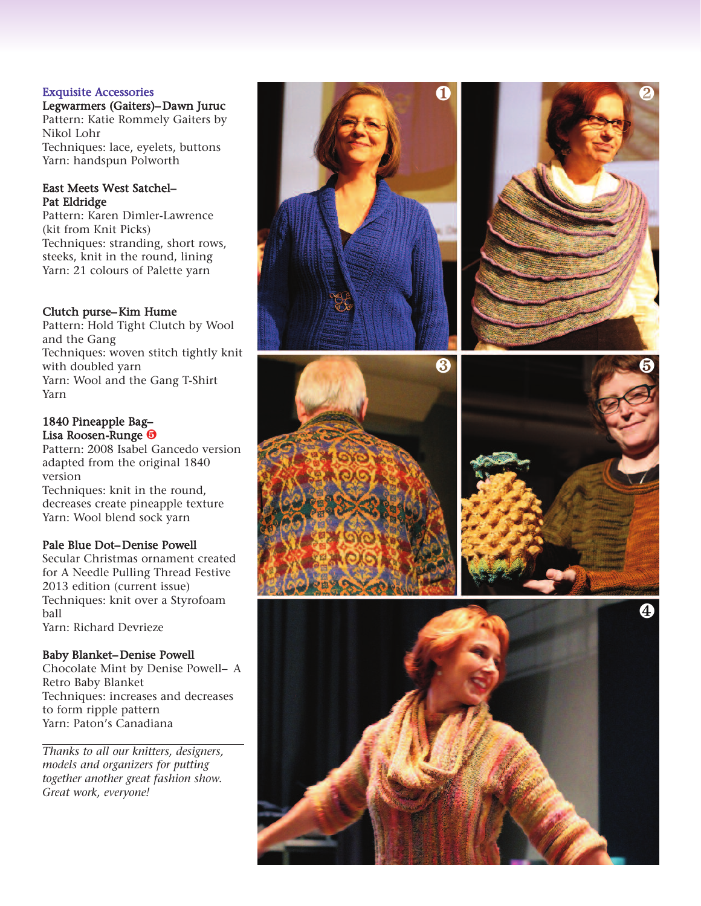#### Exquisite Accessories

Legwarmers (Gaiters)– Dawn Juruc Pattern: Katie Rommely Gaiters by Nikol Lohr Techniques: lace, eyelets, buttons Yarn: handspun Polworth

### East Meets West Satchel– Pat Eldridge

Pattern: Karen Dimler-Lawrence (kit from Knit Picks) Techniques: stranding, short rows, steeks, knit in the round, lining Yarn: 21 colours of Palette yarn

# Clutch purse– Kim Hume

Pattern: Hold Tight Clutch by Wool a n d t h e G a n g Techniques: woven stitch tightly knit with doubled yarn Yarn: Wool and the Gang T-Shirt Yarn

#### 1840 Pineapple Bag– Lisa Roosen-Runge O

Pattern: 2008 Isabel Gancedo version adapted from the original 1840 version

Techniques: knit in the round, decreases create pineapple texture Yarn: Wool blend sock yarn

### Pale Blue Dot–Denise Powell

Secular Christmas ornament created for A Needle Pulling Thread Festive 2013 edition (current issue) Techniques: knit over a Styrofoam b a l l Yarn: Richard Devrieze

#### Baby Blanket–Denise Powell

Chocolate Mint by Denise Powell– A Retro Baby Blanket Techniques: increases and decreases to form ripple pattern Yarn: Paton's Canadiana

Thanks to all our knitters, designers, *models and organizers for putting* together another great fashion show. *Great work, everyone!*